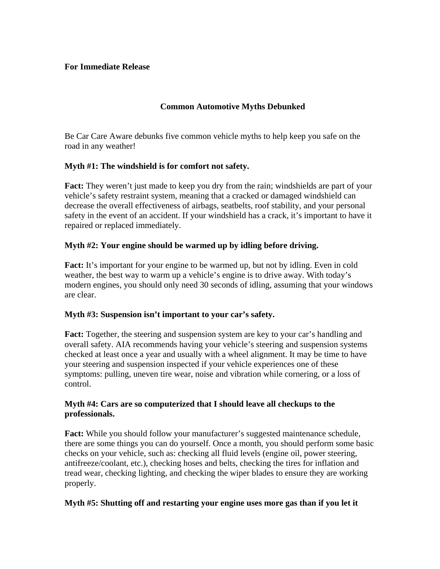## **For Immediate Release**

# **Common Automotive Myths Debunked**

Be Car Care Aware debunks five common vehicle myths to help keep you safe on the road in any weather!

## **Myth #1: The windshield is for comfort not safety.**

**Fact:** They weren't just made to keep you dry from the rain; windshields are part of your vehicle's safety restraint system, meaning that a cracked or damaged windshield can decrease the overall effectiveness of airbags, seatbelts, roof stability, and your personal safety in the event of an accident. If your windshield has a crack, it's important to have it repaired or replaced immediately.

## **Myth #2: Your engine should be warmed up by idling before driving.**

**Fact:** It's important for your engine to be warmed up, but not by idling. Even in cold weather, the best way to warm up a vehicle's engine is to drive away. With today's modern engines, you should only need 30 seconds of idling, assuming that your windows are clear.

#### **Myth #3: Suspension isn't important to your car's safety.**

**Fact:** Together, the steering and suspension system are key to your car's handling and overall safety. AIA recommends having your vehicle's steering and suspension systems checked at least once a year and usually with a wheel alignment. It may be time to have your steering and suspension inspected if your vehicle experiences one of these symptoms: pulling, uneven tire wear, noise and vibration while cornering, or a loss of control.

## **Myth #4: Cars are so computerized that I should leave all checkups to the professionals.**

**Fact:** While you should follow your manufacturer's suggested maintenance schedule, there are some things you can do yourself. Once a month, you should perform some basic checks on your vehicle, such as: checking all fluid levels (engine oil, power steering, antifreeze/coolant, etc.), checking hoses and belts, checking the tires for inflation and tread wear, checking lighting, and checking the wiper blades to ensure they are working properly.

#### **Myth #5: Shutting off and restarting your engine uses more gas than if you let it**